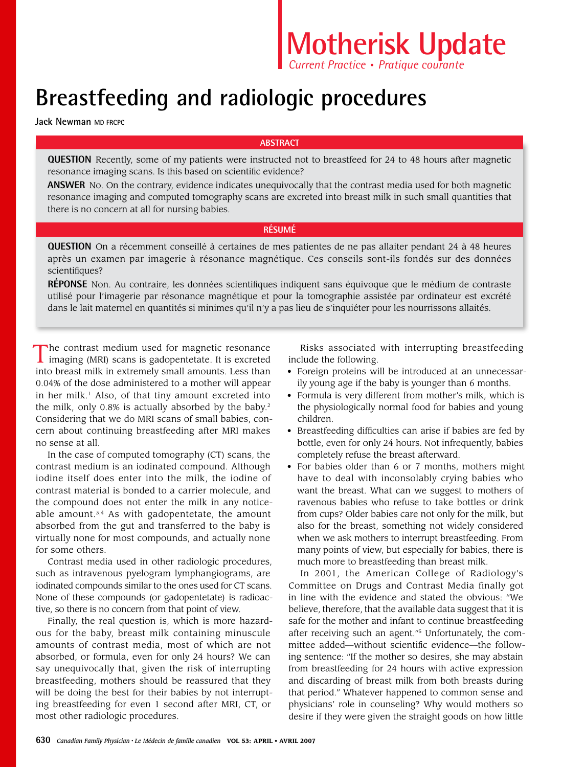# **Breastfeeding and radiologic procedures**

**Jack Newman MD FRCPC**

### **ABSTRACT**

**QUESTION** Recently, some of my patients were instructed not to breastfeed for 24 to 48 hours after magnetic resonance imaging scans. Is this based on scientific evidence?

**ANSWER** No. On the contrary, evidence indicates unequivocally that the contrast media used for both magnetic resonance imaging and computed tomography scans are excreted into breast milk in such small quantities that there is no concern at all for nursing babies.

## **RéSUMÉ**

**QUESTION** On a récemment conseillé à certaines de mes patientes de ne pas allaiter pendant 24 à 48 heures après un examen par imagerie à résonance magnétique. Ces conseils sont-ils fondés sur des données scientifiques?

**RÉPONSE** Non. Au contraire, les données scientifiques indiquent sans équivoque que le médium de contraste utilisé pour l'imagerie par résonance magnétique et pour la tomographie assistée par ordinateur est excrété dans le lait maternel en quantités si minimes qu'il n'y a pas lieu de s'inquiéter pour les nourrissons allaités.

The contrast medium used for magnetic resonance<br>imaging (MRI) scans is gadopentetate. It is excreted into breast milk in extremely small amounts. Less than 0.04% of the dose administered to a mother will appear in her milk.<sup>1</sup> Also, of that tiny amount excreted into the milk, only 0.8% is actually absorbed by the baby.<sup>2</sup> Considering that we do MRI scans of small babies, concern about continuing breastfeeding after MRI makes no sense at all.

In the case of computed tomography (CT) scans, the contrast medium is an iodinated compound. Although iodine itself does enter into the milk, the iodine of contrast material is bonded to a carrier molecule, and the compound does not enter the milk in any noticeable amount. $3,4$  As with gadopentetate, the amount absorbed from the gut and transferred to the baby is virtually none for most compounds, and actually none for some others.

Contrast media used in other radiologic procedures, such as intravenous pyelogram lymphangiograms, are iodinated compounds similar to the ones used for CT scans. None of these compounds (or gadopentetate) is radioactive, so there is no concern from that point of view.

Finally, the real question is, which is more hazardous for the baby, breast milk containing minuscule amounts of contrast media, most of which are not absorbed, or formula, even for only 24 hours? We can say unequivocally that, given the risk of interrupting breastfeeding, mothers should be reassured that they will be doing the best for their babies by not interrupting breastfeeding for even 1 second after MRI, CT, or most other radiologic procedures.

Risks associated with interrupting breastfeeding include the following.

- Foreign proteins will be introduced at an unnecessarily young age if the baby is younger than 6 months.
- Formula is very different from mother's milk, which is the physiologically normal food for babies and young children.
- Breastfeeding difficulties can arise if babies are fed by bottle, even for only 24 hours. Not infrequently, babies completely refuse the breast afterward.
- For babies older than 6 or 7 months, mothers might have to deal with inconsolably crying babies who want the breast. What can we suggest to mothers of ravenous babies who refuse to take bottles or drink from cups? Older babies care not only for the milk, but also for the breast, something not widely considered when we ask mothers to interrupt breastfeeding. From many points of view, but especially for babies, there is much more to breastfeeding than breast milk.

In 2001, the American College of Radiology's Committee on Drugs and Contrast Media finally got in line with the evidence and stated the obvious: "We believe, therefore, that the available data suggest that it is safe for the mother and infant to continue breastfeeding after receiving such an agent."5 Unfortunately, the committee added—without scientific evidence—the following sentence: "If the mother so desires, she may abstain from breastfeeding for 24 hours with active expression and discarding of breast milk from both breasts during that period." Whatever happened to common sense and physicians' role in counseling? Why would mothers so desire if they were given the straight goods on how little